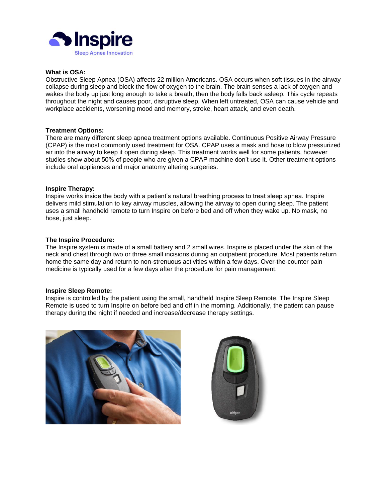

# **What is OSA:**

Obstructive Sleep Apnea (OSA) affects 22 million Americans. OSA occurs when soft tissues in the airway collapse during sleep and block the flow of oxygen to the brain. The brain senses a lack of oxygen and wakes the body up just long enough to take a breath, then the body falls back asleep. This cycle repeats throughout the night and causes poor, disruptive sleep. When left untreated, OSA can cause vehicle and workplace accidents, worsening mood and memory, stroke, heart attack, and even death.

### **Treatment Options:**

There are many different sleep apnea treatment options available. Continuous Positive Airway Pressure (CPAP) is the most commonly used treatment for OSA. CPAP uses a mask and hose to blow pressurized air into the airway to keep it open during sleep. This treatment works well for some patients, however studies show about 50% of people who are given a CPAP machine don't use it. Other treatment options include oral appliances and major anatomy altering surgeries.

#### **Inspire Therapy:**

Inspire works inside the body with a patient's natural breathing process to treat sleep apnea. Inspire delivers mild stimulation to key airway muscles, allowing the airway to open during sleep. The patient uses a small handheld remote to turn Inspire on before bed and off when they wake up. No mask, no hose, just sleep.

### **The Inspire Procedure:**

The Inspire system is made of a small battery and 2 small wires. Inspire is placed under the skin of the neck and chest through two or three small incisions during an outpatient procedure. Most patients return home the same day and return to non-strenuous activities within a few days. Over-the-counter pain medicine is typically used for a few days after the procedure for pain management.

#### **Inspire Sleep Remote:**

Inspire is controlled by the patient using the small, handheld Inspire Sleep Remote. The Inspire Sleep Remote is used to turn Inspire on before bed and off in the morning. Additionally, the patient can pause therapy during the night if needed and increase/decrease therapy settings.